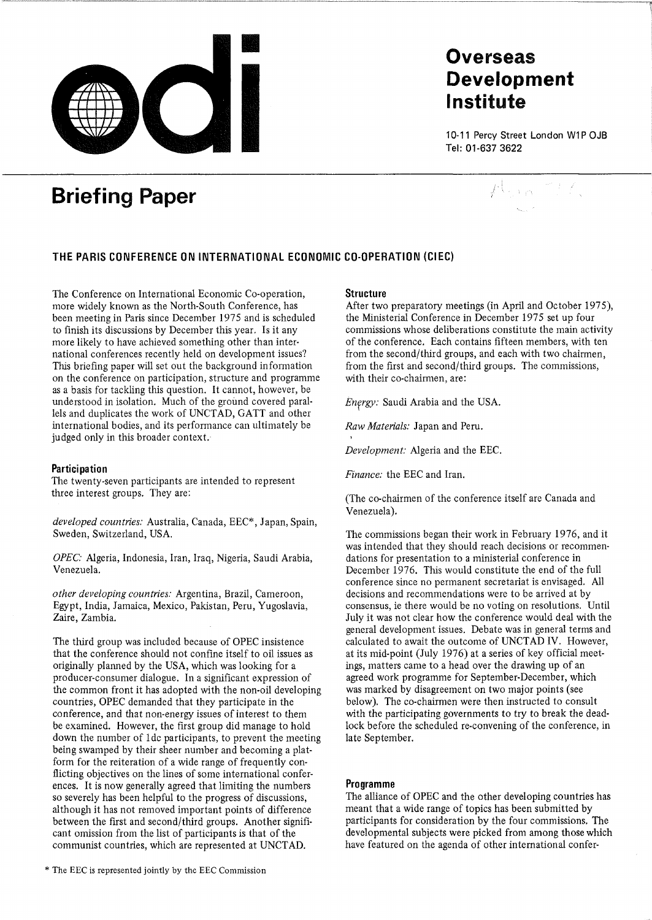

# **Overseas** Development Institute

10-11 Percy Street London W1P OJB Tel: 01-637 3622

# Briefing Paper



## THE PARIS CONFERENCE ON INTERNATIONAL ECONOMIC CO-OPERATION (CIEC)

The Conference on International Economic Co-operation, more widely known as the North-South Conference, has been meeting in Paris since December 1975 and is scheduled to finish its discussions by December this year. Is it any more likely to have achieved something other than international conferences recently held on development issues? This briefing paper will set out the background information on the conference on participation, structure and programme as a basis for tackling this question. It cannot, however, be understood in isolation. Much of the ground covered parallels and duplicates the work of UNCTAD, GATT and other international bodies, and its performance can ultimately be judged only in this broader context.

#### **Participation**

The twenty-seven participants are intended to represent three interest groups. They are:

*developed countries:* Australia, Canada, EEC\*, Japan, Spain, Sweden, Switzerland, USA.

*OPEC:* Algeria, Indonesia, Iran, Iraq, Nigeria, Saudi Arabia, Venezuela.

*other developing countries:* Argentina, Brazil, Cameroon, Egypt, India, Jamaica, Mexico, Pakistan, Peru, Yugoslavia, Zaire, Zambia.

The third group was included because of OPEC insistence that the conference should not confine itself to oil issues as originally planned by the USA, which was looking for a producer-consumer dialogue. In a significant expression of the common front it has adopted with the non-oil developing countries, OPEC demanded that they participate in the conference, and that non-energy issues of interest to them be examined. However, the first group did manage to hold down the number of ldc participants, to prevent the meeting being swamped by their sheer number and becoming a platform for the reiteration of a wide range of frequently conflicting objectives on the lines of some international conferences. It is now generally agreed that limiting the numbers so severely has been helpful to the progress of discussions, although it has not removed important points of difference between the first and second/third groups. Another significant omission from the list of participants is that of the communist countries, which are represented at UNCTAD.

#### **Structure**

After two preparatory meetings (in April and October 1975), the Ministerial Conference in December 1975 set up four commissions whose deliberations constitute the main activity of the conference. Each contains fifteen members, with ten from the second/third groups, and each with two chairmen, from the first and second/third groups. The commissions, with their co-chairmen, are:

*Energy:* Saudi Arabia and the USA.

*Raw Materials:* Japan and Peru.

*Development:* Algeria and the EEC.

*Finance:* the EEC and Iran.

(The co-chairmen of the conference itself are Canada and Venezuela).

The commissions began their work in February 1976, and it was intended that they should reach decisions or recommendations for presentation to a ministerial conference in December 1976. This would constitute the end of the full conference since no permanent secretariat is envisaged. All decisions and recommendations were to be arrived at by consensus, ie there would be no voting on resolutions. Until July it was not clear how the conference would deal with the general development issues. Debate was in general terms and calculated to await the outcome of UNCTAD IV. However, at its mid-point (July 1976) at a series of key official meetings, matters came to a head over the drawing up of an agreed work programme for September-December, which was marked by disagreement on two major points (see below). The co-chairmen were then instructed to consult with the participating governments to try to break the deadlock before the scheduled re-convening of the conference, in late September.

#### Programme

The alliance of OPEC and the other developing countries has meant that a wide range of topics has been submitted by participants for consideration by the four commissions. The developmental subjects were picked from among those which have featured on the agenda of other international confer-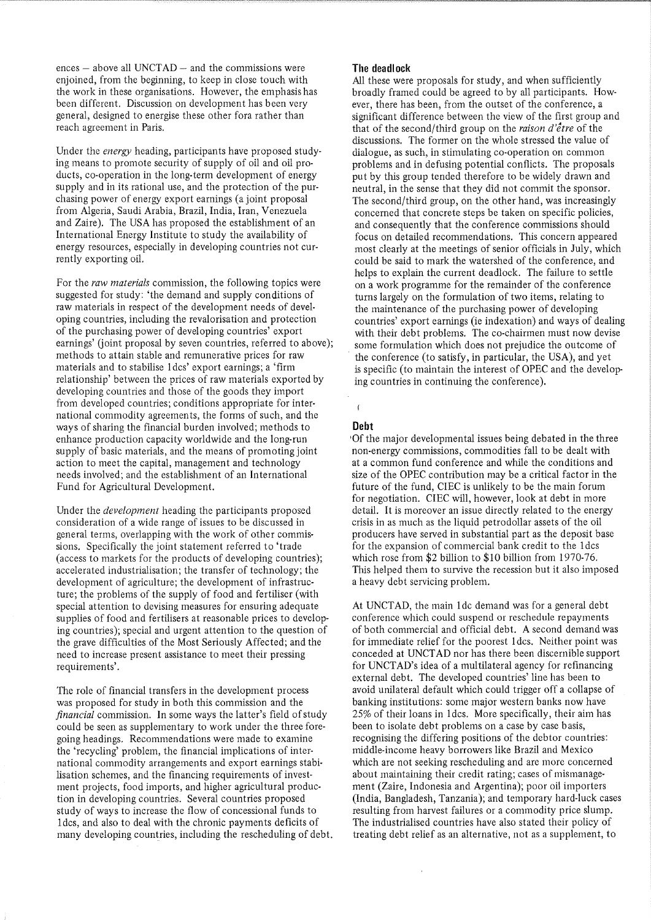ences — above all UNCTAD — and the commissions were enjoined, from the beginning, to keep in close touch with the work in these organisations. However, the emphasis has been different. Discussion on development has been very general, designed to energise these other fora rather than reach agreement in Paris.

Under the *energy* heading, participants have proposed studying means to promote security of supply of oil and oil products, co-operation in the long-term development of energy supply and in its rational use, and the protection of the purchasing power of energy export earnings (a joint proposal from Algeria, Saudi Arabia, Brazil, India, Iran, Venezuela and Zaire). The USA has proposed the establishment of an International Energy Institute to study the availability of energy resources, especially in developing countries not currently exporting oil.

For the *raw materials* commission, the following topics were suggested for study: 'the demand and supply conditions of raw materials in respect of the development needs of developing countries, including the revalorisation and protection of the purchasing power of developing countries' export earnings' (joint proposal by seven countries, referred to above); methods to attain stable and remunerative prices for raw materials and to stabilise ldcs' export earnings; a 'firm relationship' between the prices of raw materials exported by developing countries and those of the goods they import from developed countries; conditions appropriate for international commodity agreements, the forms of such, and the ways of sharing the financial burden involved; methods to enhance production capacity worldwide and the long-run supply of basic materials, and the means of promoting joint action to meet the capital, management and technology needs involved; and the establishment of an International Fund for Agricultural Development.

Under the *development* heading the participants proposed consideration of a wide range of issues to be discussed in general terms, overlapping with the work of other commissions. Specifically the joint statement referred to 'trade (access to markets for the products of developing countries); accelerated industrialisation; the transfer of technology; the development of agriculture; the development of infrastructure; the problems of the supply of food and fertiliser (with special attention to devising measures for ensuring adequate supplies of food and fertilisers at reasonable prices to developing countries); special and urgent attention to the question of the grave difficulties of the Most Seriously Affected; and the need to increase present assistance to meet their pressing requirements'.

The role of financial transfers in the development process was proposed for study in both this commission and the *financial* commission. In some ways the latter's field of study could be seen as supplementary to work under the three foregoing headings. Recommendations were made to examine the 'recycling' problem, the financial implications of international commodity arrangements and export earnings stabilisation schemes, and the financing requirements of investment projects, food imports, and higher agricultural production in developing countries. Several countries proposed study of ways to increase the flow of concessional funds to ldcs, and also to deal with the chronic payments deficits of many developing countries, including the rescheduling of debt.

#### The deadlock

All these were proposals for study, and when sufficiently broadly framed could be agreed to by all participants. However, there has been, from the outset of the conference, a significant difference between the view of the first group and that of the second/third group on the *raison d'etre* of the discussions. The former on the whole stressed the value of dialogue, as such, in stimulating co-operation on common problems and in defusing potential conflicts. The proposals put by this group tended therefore to be widely drawn and neutral, in the sense that they did not commit the sponsor. The second/third group, on the other hand, was increasingly concerned that concrete steps be taken on specific policies, and consequently that the conference commissions should focus on detailed recommendations. This concern appeared most clearly at the meetings of senior officials in July, which could be said to mark the watershed of the conference, and helps to explain the current deadlock. The failure to settle on a work programme for the remainder of the conference turns largely on the formulation of two items, relating to the maintenance of the purchasing power of developing countries' export earnings (ie indexation) and ways of dealing with their debt problems. The co-chairmen must now devise some formulation which does not prejudice the outcome of the conference (to satisfy, in particular, the USA), and yet is specific (to maintain the interest of OPEC and the developing countries in continuing the conference).

### **(**  Debt

'Of the major developmental issues being debated in the three non-energy commissions, commodities fall to be dealt with at a common fund conference and while the conditions and size of the OPEC contribution may be a critical factor in the future of the fund, CIEC is unlikely to be the main forum for negotiation. CIEC will, however, look at debt in more detail. It is moreover an issue directly related to the energy crisis in as much as the liquid petrodollar assets of the oil producers have served in substantial part as the deposit base for the expansion of commercial bank credit to the ldcs which rose from \$2 billion to \$10 billion from 1970-76. This helped them to survive the recession but it also imposed a heavy debt servicing problem.

At UNCTAD, the main ldc demand was for a general debt conference which could suspend or reschedule repayments of both commercial and official debt. A second demand was for immediate relief for the poorest ldcs. Neither point was conceded at UNCTAD nor has there been discernible support for UNCTAD's idea of a multilateral agency for refinancing external debt. The developed countries' line has been to avoid unilateral default which could trigger off a collapse of banking institutions: some major western banks now have 25% of their loans in ldcs. More specifically, their aim has been to isolate debt problems on a case by case basis, recognising the differing positions of the debtor countries: middle-income heavy borrowers like Brazil and Mexico which are not seeking rescheduling and are more concerned about maintaining their credit rating; cases of mismanagement (Zaire, Indonesia and Argentina); poor oil importers (India, Bangladesh, Tanzania); and temporary hard-luck cases resulting from harvest failures or a commodity price slump. The industrialised countries have also stated their policy of treating debt relief as an alternative, not as a supplement, to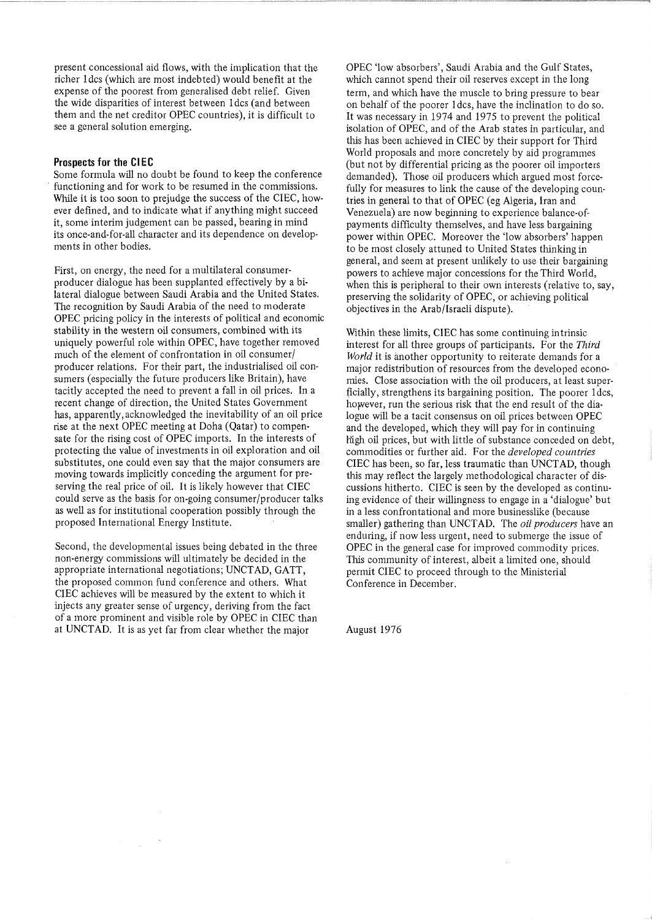present concessional aid flows, with the implication that the richer ldcs (which are most indebted) would benefit at the expense of the poorest from generalised debt relief. Given the wide disparities of interest between 1 dcs (and between them and the net creditor OPEC countries), it is difficult to see a general solution emerging.

#### Prospects for the CIEC

Some formula will no doubt be found to keep the conference functioning and for work to be resumed in the commissions. While it is too soon to prejudge the success of the CIEC, however defined, and to indicate what if anything might succeed it, some interim judgement can be passed, bearing in mind its once-and-for-all character and its dependence on developments in other bodies.

First, on energy, the need for a multilateral consumerproducer dialogue has been supplanted effectively by a bilateral dialogue between Saudi Arabia and the United States. The recognition by Saudi Arabia of the need to moderate OPEC pricing policy in the interests of political and economic stability in the western oil consumers, combined with its uniquely powerful role within OPEC, have together removed much of the element of confrontation in oil consumer/ producer relations. For their part, the industrialised oil consumers (especially the future producers like Britain), have tacitly accepted the need to prevent a fall in oil prices. In a recent change of direction, the United States Government has, apparently, acknowledged the inevitability of an oil price rise at the next OPEC meeting at Doha (Qatar) to compensate for the rising cost of OPEC imports. In the interests of protecting the value of investments in oil exploration and oil substitutes, one could even say that the major consumers are moving towards implicitly conceding the argument for preserving the real price of oil. It is likely however that CIEC could serve as the basis for on-going consumer/producer talks as well as for institutional cooperation possibly through the proposed International Energy Institute.

Second, the developmental issues being debated in the three non-energy commissions will ultimately be decided in the appropriate international negotiations; UNCTAD, GATT, the proposed common fund conference and others. What CIEC achieves will be measured by the extent to which it injects any greater sense of urgency, deriving from the fact of a more prominent and visible role by OPEC in CIEC than at UNCTAD. It is as yet far from clear whether the major

OPEC 'low absorbers', Saudi Arabia and the Gulf States, which cannot spend their oil reserves except in the long term, and which have the muscle to bring pressure to bear on behalf of the poorer ldcs, have the inclination to do so. It was necessary in 1974 and 1975 to prevent the political isolation of OPEC, and of the Arab states in particular, and this has been achieved in CIEC by their support for Third World proposals and more concretely by aid programmes (but not by differential pricing as the poorer oil importers demanded). Those oil producers which argued most forcefully for measures to link the cause of the developing countries in general to that of OPEC (eg Algeria, Iran and Venezuela) are now beginning to experience balance-ofpayments difficulty themselves, and have less bargaining power within OPEC. Moreover the 'low absorbers' happen to be most closely attuned to United States thinking in general, and seem at present unlikely to use their bargaining powers to achieve major concessions for the Third World, when this is peripheral to their own interests (relative to, say, preserving the solidarity of OPEC, or achieving political objectives in the Arab/Israeli dispute).

Within these limits, CIEC has some continuing intrinsic interest for all three groups of participants. For the *Third World* it is another opportunity to reiterate demands for a major redistribution of resources from the developed economies. Close association with the oil producers, at least superficially, strengthens its bargaining position. The poorer ldcs, however, run the serious risk that the end result of the dialogue will be a tacit consensus on oil prices between OPEC and the developed, which they will pay for in continuing high oil prices, but with little of substance conceded on debt, commodities or further aid. For the *developed countries*  CIEC has been, so far, less traumatic than UNCTAD, though this may reflect the largely methodological character of discussions hitherto. CIEC is seen by the developed as continuing evidence of their willingness to engage in a 'dialogue' but in a less confrontational and more businesslike (because smaller) gathering than UNCTAD. The *oil producers* have an enduring, if now less urgent, need to submerge the issue of OPEC in the general case for improved commodity prices. This community of interest, albeit a limited one, should permit CIEC to proceed through to the Ministerial Conference in December.

August 1976